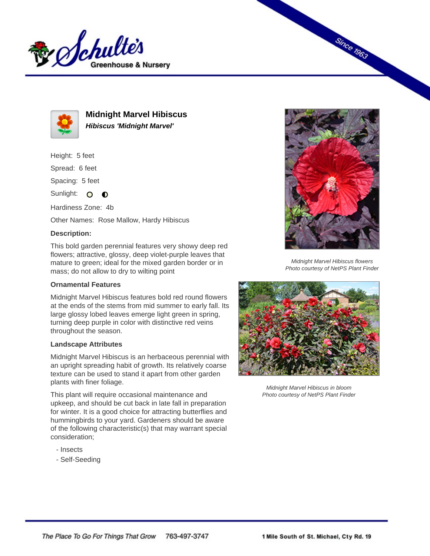



**Midnight Marvel Hibiscus Hibiscus 'Midnight Marvel'**

Height: 5 feet

Spread: 6 feet

Spacing: 5 feet

Sunlight: O  $\bullet$ 

Hardiness Zone: 4b

Other Names: Rose Mallow, Hardy Hibiscus

## **Description:**

This bold garden perennial features very showy deep red flowers; attractive, glossy, deep violet-purple leaves that mature to green; ideal for the mixed garden border or in mass; do not allow to dry to wilting point

## **Ornamental Features**

Midnight Marvel Hibiscus features bold red round flowers at the ends of the stems from mid summer to early fall. Its large glossy lobed leaves emerge light green in spring, turning deep purple in color with distinctive red veins throughout the season.

## **Landscape Attributes**

Midnight Marvel Hibiscus is an herbaceous perennial with an upright spreading habit of growth. Its relatively coarse texture can be used to stand it apart from other garden plants with finer foliage.

This plant will require occasional maintenance and upkeep, and should be cut back in late fall in preparation for winter. It is a good choice for attracting butterflies and hummingbirds to your yard. Gardeners should be aware of the following characteristic(s) that may warrant special consideration;

- Insects
- Self-Seeding



**Since 1963** 

Midnight Marvel Hibiscus flowers Photo courtesy of NetPS Plant Finder



Midnight Marvel Hibiscus in bloom Photo courtesy of NetPS Plant Finder